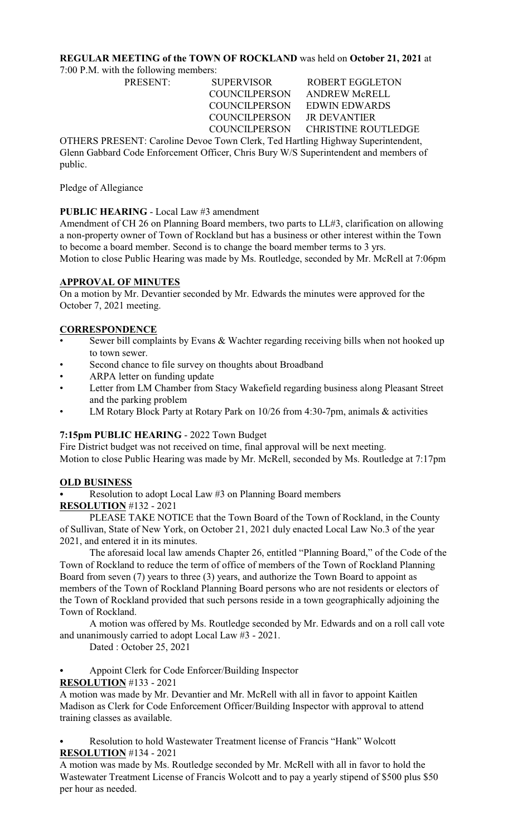# **REGULAR MEETING of the TOWN OF ROCKLAND** was held on **October 21, 2021** at

7:00 P.M. with the following members:

COUNCILPERSON JR DEVANTIER

PRESENT: SUPERVISOR ROBERT EGGLETON COUNCILPERSON ANDREW McRELL COUNCILPERSON EDWIN EDWARDS COUNCILPERSON CHRISTINE ROUTLEDGE

OTHERS PRESENT: Caroline Devoe Town Clerk, Ted Hartling Highway Superintendent, Glenn Gabbard Code Enforcement Officer, Chris Bury W/S Superintendent and members of public.

Pledge of Allegiance

## **PUBLIC HEARING** - Local Law #3 amendment

Amendment of CH 26 on Planning Board members, two parts to LL#3, clarification on allowing a non-property owner of Town of Rockland but has a business or other interest within the Town to become a board member. Second is to change the board member terms to 3 yrs.

Motion to close Public Hearing was made by Ms. Routledge, seconded by Mr. McRell at 7:06pm

# **APPROVAL OF MINUTES**

On a motion by Mr. Devantier seconded by Mr. Edwards the minutes were approved for the October 7, 2021 meeting.

# **CORRESPONDENCE**

- Sewer bill complaints by Evans  $\&$  Wachter regarding receiving bills when not hooked up to town sewer.
- Second chance to file survey on thoughts about Broadband
- ARPA letter on funding update
- Letter from LM Chamber from Stacy Wakefield regarding business along Pleasant Street and the parking problem
- LM Rotary Block Party at Rotary Park on 10/26 from 4:30-7pm, animals & activities

## **7:15pm PUBLIC HEARING** - 2022 Town Budget

Fire District budget was not received on time, final approval will be next meeting. Motion to close Public Hearing was made by Mr. McRell, seconded by Ms. Routledge at 7:17pm

## **OLD BUSINESS**

Resolution to adopt Local Law #3 on Planning Board members

**RESOLUTION** #132 - 2021

PLEASE TAKE NOTICE that the Town Board of the Town of Rockland, in the County of Sullivan, State of New York, on October 21, 2021 duly enacted Local Law No.3 of the year 2021, and entered it in its minutes.

The aforesaid local law amends Chapter 26, entitled "Planning Board," of the Code of the Town of Rockland to reduce the term of office of members of the Town of Rockland Planning Board from seven (7) years to three (3) years, and authorize the Town Board to appoint as members of the Town of Rockland Planning Board persons who are not residents or electors of the Town of Rockland provided that such persons reside in a town geographically adjoining the Town of Rockland.

A motion was offered by Ms. Routledge seconded by Mr. Edwards and on a roll call vote and unanimously carried to adopt Local Law #3 - 2021.

Dated : October 25, 2021

Appoint Clerk for Code Enforcer/Building Inspector

**RESOLUTION** #133 - 2021

A motion was made by Mr. Devantier and Mr. McRell with all in favor to appoint Kaitlen Madison as Clerk for Code Enforcement Officer/Building Inspector with approval to attend training classes as available.

Resolution to hold Wastewater Treatment license of Francis "Hank" Wolcott **RESOLUTION** #134 - 2021

A motion was made by Ms. Routledge seconded by Mr. McRell with all in favor to hold the Wastewater Treatment License of Francis Wolcott and to pay a yearly stipend of \$500 plus \$50 per hour as needed.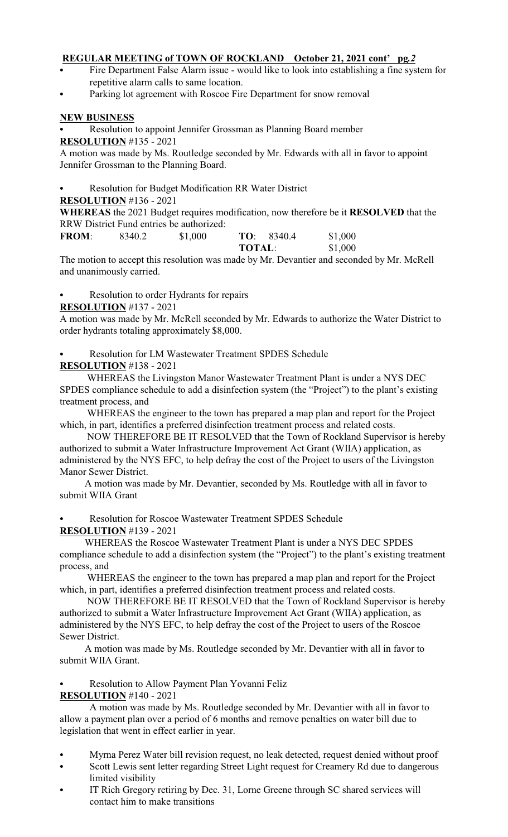## **REGULAR MEETING of TOWN OF ROCKLAND October 21, 2021 cont' pg***.2*

- Fire Department False Alarm issue would like to look into establishing a fine system for repetitive alarm calls to same location.
- Parking lot agreement with Roscoe Fire Department for snow removal

#### **NEW BUSINESS**

Resolution to appoint Jennifer Grossman as Planning Board member **RESOLUTION** #135 - 2021

A motion was made by Ms. Routledge seconded by Mr. Edwards with all in favor to appoint Jennifer Grossman to the Planning Board.

Resolution for Budget Modification RR Water District

**RESOLUTION** #136 - 2021

**WHEREAS** the 2021 Budget requires modification, now therefore be it **RESOLVED** that the RRW District Fund entries be authorized:<br>FROM: 8340 2 \$1,000

**FROM**: 8340.2 \$1,000 **TO**: 8340.4 \$1,000 **TOTAL**: \$1,000

The motion to accept this resolution was made by Mr. Devantier and seconded by Mr. McRell and unanimously carried.

Resolution to order Hydrants for repairs

#### **RESOLUTION** #137 - 2021

A motion was made by Mr. McRell seconded by Mr. Edwards to authorize the Water District to order hydrants totaling approximately \$8,000.

### Resolution for LM Wastewater Treatment SPDES Schedule

# **RESOLUTION** #138 - 2021

 WHEREAS the Livingston Manor Wastewater Treatment Plant is under a NYS DEC SPDES compliance schedule to add a disinfection system (the "Project") to the plant's existing treatment process, and

 WHEREAS the engineer to the town has prepared a map plan and report for the Project which, in part, identifies a preferred disinfection treatment process and related costs.

 NOW THEREFORE BE IT RESOLVED that the Town of Rockland Supervisor is hereby authorized to submit a Water Infrastructure Improvement Act Grant (WIIA) application, as administered by the NYS EFC, to help defray the cost of the Project to users of the Livingston Manor Sewer District.

 A motion was made by Mr. Devantier, seconded by Ms. Routledge with all in favor to submit WIIA Grant

Resolution for Roscoe Wastewater Treatment SPDES Schedule **RESOLUTION** #139 - 2021

 WHEREAS the Roscoe Wastewater Treatment Plant is under a NYS DEC SPDES compliance schedule to add a disinfection system (the "Project") to the plant's existing treatment process, and

 WHEREAS the engineer to the town has prepared a map plan and report for the Project which, in part, identifies a preferred disinfection treatment process and related costs.

 NOW THEREFORE BE IT RESOLVED that the Town of Rockland Supervisor is hereby authorized to submit a Water Infrastructure Improvement Act Grant (WIIA) application, as administered by the NYS EFC, to help defray the cost of the Project to users of the Roscoe Sewer District.

 A motion was made by Ms. Routledge seconded by Mr. Devantier with all in favor to submit WIIA Grant.

Resolution to Allow Payment Plan Yovanni Feliz

#### **RESOLUTION** #140 - 2021

A motion was made by Ms. Routledge seconded by Mr. Devantier with all in favor to allow a payment plan over a period of 6 months and remove penalties on water bill due to legislation that went in effect earlier in year.

- Myrna Perez Water bill revision request, no leak detected, request denied without proof
- Scott Lewis sent letter regarding Street Light request for Creamery Rd due to dangerous limited visibility
- IT Rich Gregory retiring by Dec. 31, Lorne Greene through SC shared services will contact him to make transitions